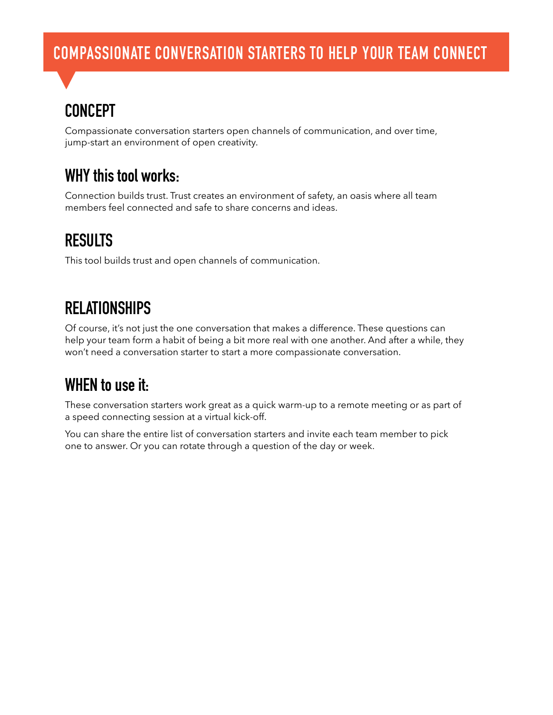# **COMPASSIONATE CONVERSATION STARTERS TO HELP YOUR TEAM CONNECT**

## **CONCEPT**

Compassionate conversation starters open channels of communication, and over time, jump-start an environment of open creativity.

#### **WHY this tool works:**

Connection builds trust. Trust creates an environment of safety, an oasis where all team members feel connected and safe to share concerns and ideas.

### **RESULTS**

This tool builds trust and open channels of communication.

### **RELATIONSHIPS**

Of course, it's not just the one conversation that makes a difference. These questions can help your team form a habit of being a bit more real with one another. And after a while, they won't need a conversation starter to start a more compassionate conversation.

## **WHEN to use it:**

These conversation starters work great as a quick warm-up to a remote meeting or as part of a speed connecting session at a virtual kick-off.

You can share the entire list of conversation starters and invite each team member to pick one to answer. Or you can rotate through a question of the day or week.